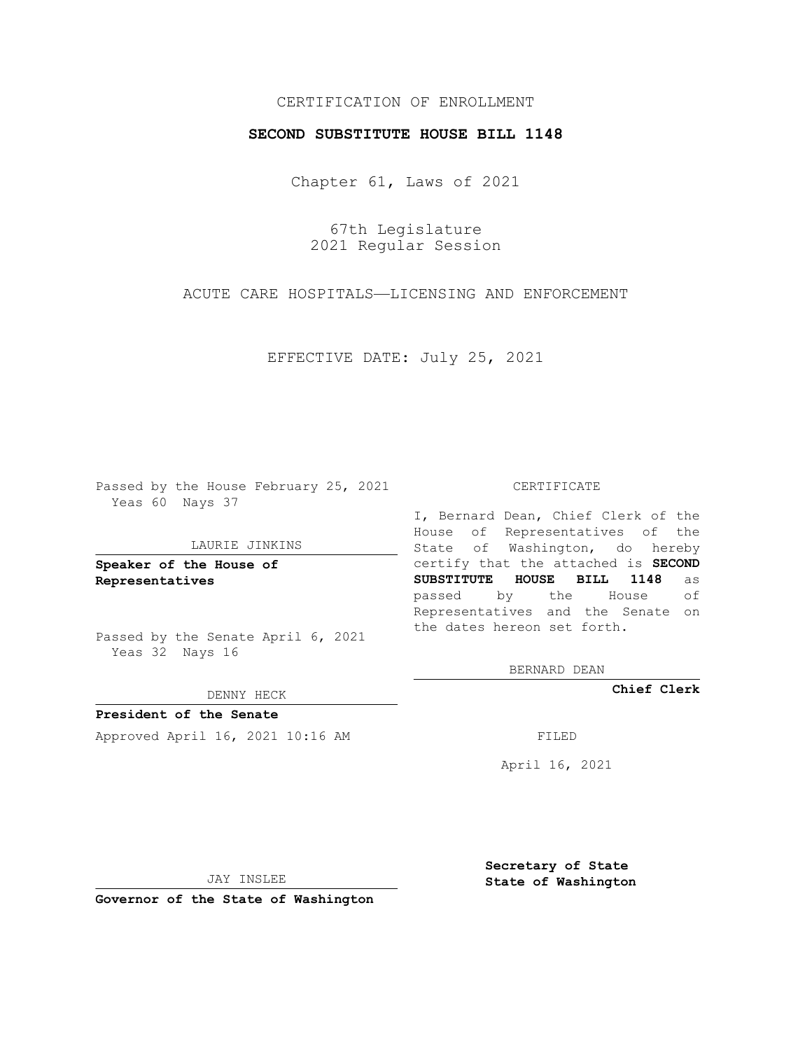# CERTIFICATION OF ENROLLMENT

## **SECOND SUBSTITUTE HOUSE BILL 1148**

Chapter 61, Laws of 2021

67th Legislature 2021 Regular Session

ACUTE CARE HOSPITALS—LICENSING AND ENFORCEMENT

EFFECTIVE DATE: July 25, 2021

Passed by the House February 25, 2021 Yeas 60 Nays 37

#### LAURIE JINKINS

**Speaker of the House of Representatives**

Passed by the Senate April 6, 2021 Yeas 32 Nays 16

### DENNY HECK

**President of the Senate** Approved April 16, 2021 10:16 AM FILED

CERTIFICATE

I, Bernard Dean, Chief Clerk of the House of Representatives of the State of Washington, do hereby certify that the attached is **SECOND SUBSTITUTE HOUSE BILL 1148** as passed by the House of Representatives and the Senate on the dates hereon set forth.

BERNARD DEAN

**Chief Clerk**

April 16, 2021

JAY INSLEE

**Governor of the State of Washington**

**Secretary of State State of Washington**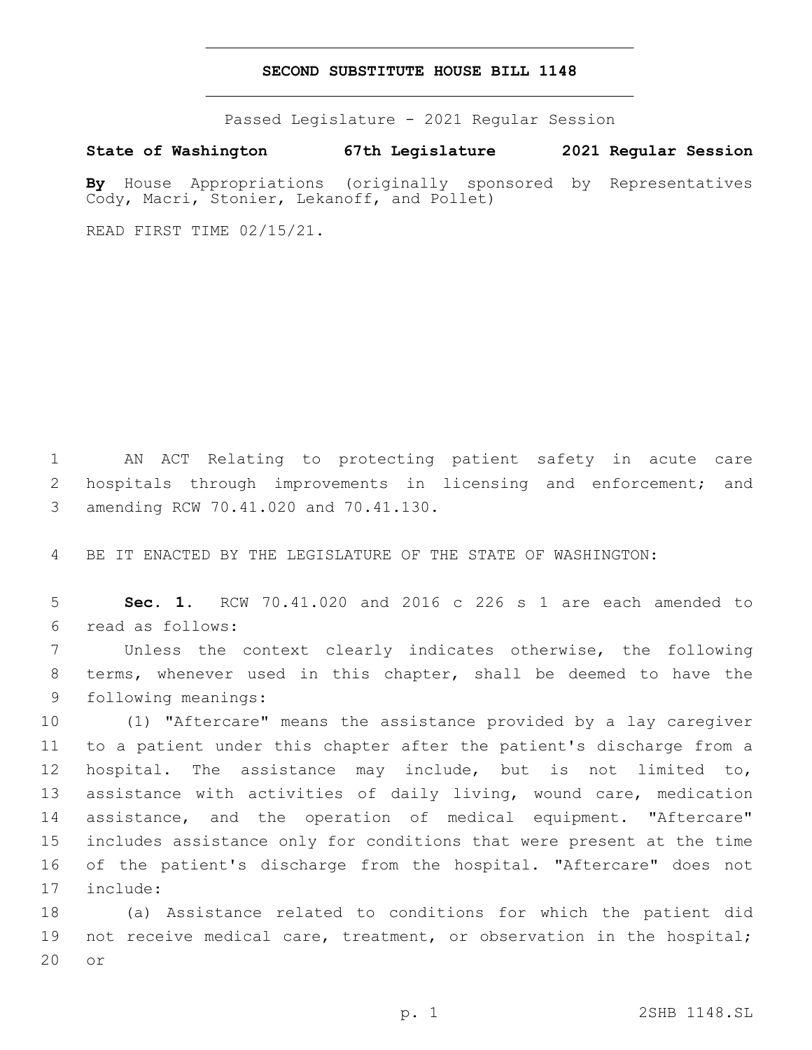## **SECOND SUBSTITUTE HOUSE BILL 1148**

Passed Legislature - 2021 Regular Session

**State of Washington 67th Legislature 2021 Regular Session**

**By** House Appropriations (originally sponsored by Representatives Cody, Macri, Stonier, Lekanoff, and Pollet)

READ FIRST TIME 02/15/21.

1 AN ACT Relating to protecting patient safety in acute care 2 hospitals through improvements in licensing and enforcement; and 3 amending RCW 70.41.020 and 70.41.130.

4 BE IT ENACTED BY THE LEGISLATURE OF THE STATE OF WASHINGTON:

5 **Sec. 1.** RCW 70.41.020 and 2016 c 226 s 1 are each amended to read as follows:6

7 Unless the context clearly indicates otherwise, the following 8 terms, whenever used in this chapter, shall be deemed to have the 9 following meanings:

 (1) "Aftercare" means the assistance provided by a lay caregiver to a patient under this chapter after the patient's discharge from a hospital. The assistance may include, but is not limited to, 13 assistance with activities of daily living, wound care, medication assistance, and the operation of medical equipment. "Aftercare" includes assistance only for conditions that were present at the time of the patient's discharge from the hospital. "Aftercare" does not 17 include:

18 (a) Assistance related to conditions for which the patient did 19 not receive medical care, treatment, or observation in the hospital; 20 or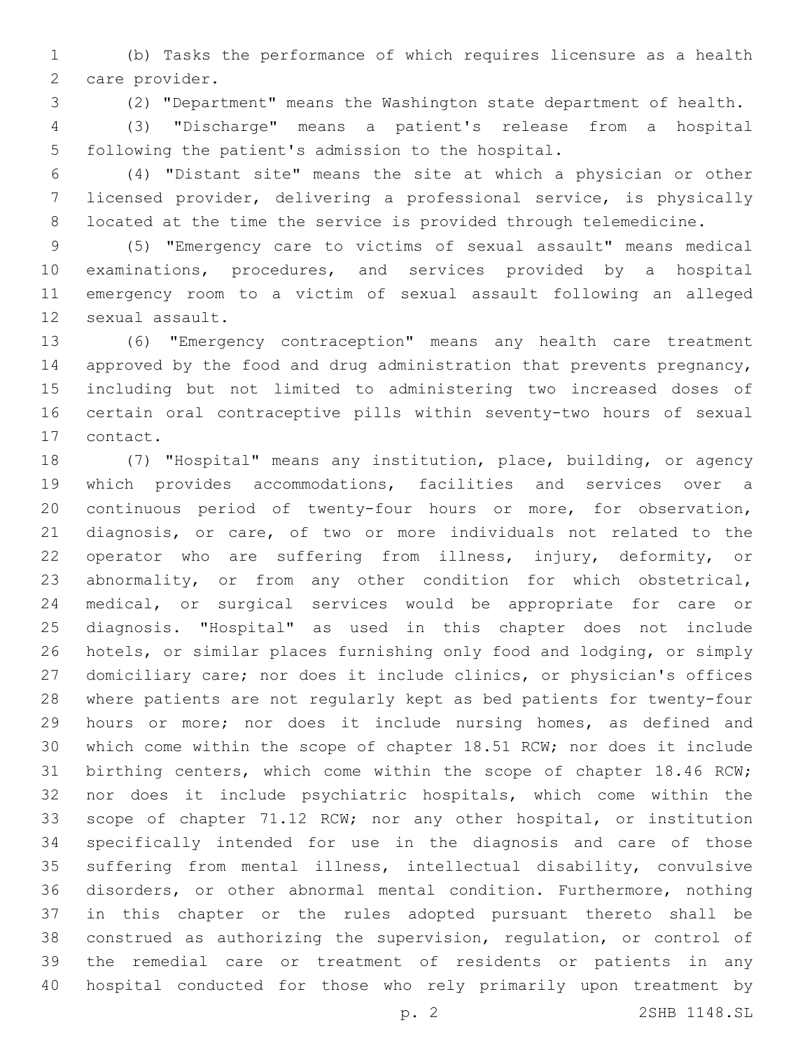(b) Tasks the performance of which requires licensure as a health 2 care provider.

(2) "Department" means the Washington state department of health.

 (3) "Discharge" means a patient's release from a hospital 5 following the patient's admission to the hospital.

 (4) "Distant site" means the site at which a physician or other licensed provider, delivering a professional service, is physically located at the time the service is provided through telemedicine.

 (5) "Emergency care to victims of sexual assault" means medical examinations, procedures, and services provided by a hospital emergency room to a victim of sexual assault following an alleged 12 sexual assault.

 (6) "Emergency contraception" means any health care treatment approved by the food and drug administration that prevents pregnancy, including but not limited to administering two increased doses of certain oral contraceptive pills within seventy-two hours of sexual 17 contact.

 (7) "Hospital" means any institution, place, building, or agency which provides accommodations, facilities and services over a continuous period of twenty-four hours or more, for observation, diagnosis, or care, of two or more individuals not related to the operator who are suffering from illness, injury, deformity, or abnormality, or from any other condition for which obstetrical, medical, or surgical services would be appropriate for care or diagnosis. "Hospital" as used in this chapter does not include hotels, or similar places furnishing only food and lodging, or simply domiciliary care; nor does it include clinics, or physician's offices where patients are not regularly kept as bed patients for twenty-four hours or more; nor does it include nursing homes, as defined and which come within the scope of chapter 18.51 RCW; nor does it include birthing centers, which come within the scope of chapter 18.46 RCW; nor does it include psychiatric hospitals, which come within the scope of chapter 71.12 RCW; nor any other hospital, or institution specifically intended for use in the diagnosis and care of those suffering from mental illness, intellectual disability, convulsive disorders, or other abnormal mental condition. Furthermore, nothing in this chapter or the rules adopted pursuant thereto shall be construed as authorizing the supervision, regulation, or control of the remedial care or treatment of residents or patients in any hospital conducted for those who rely primarily upon treatment by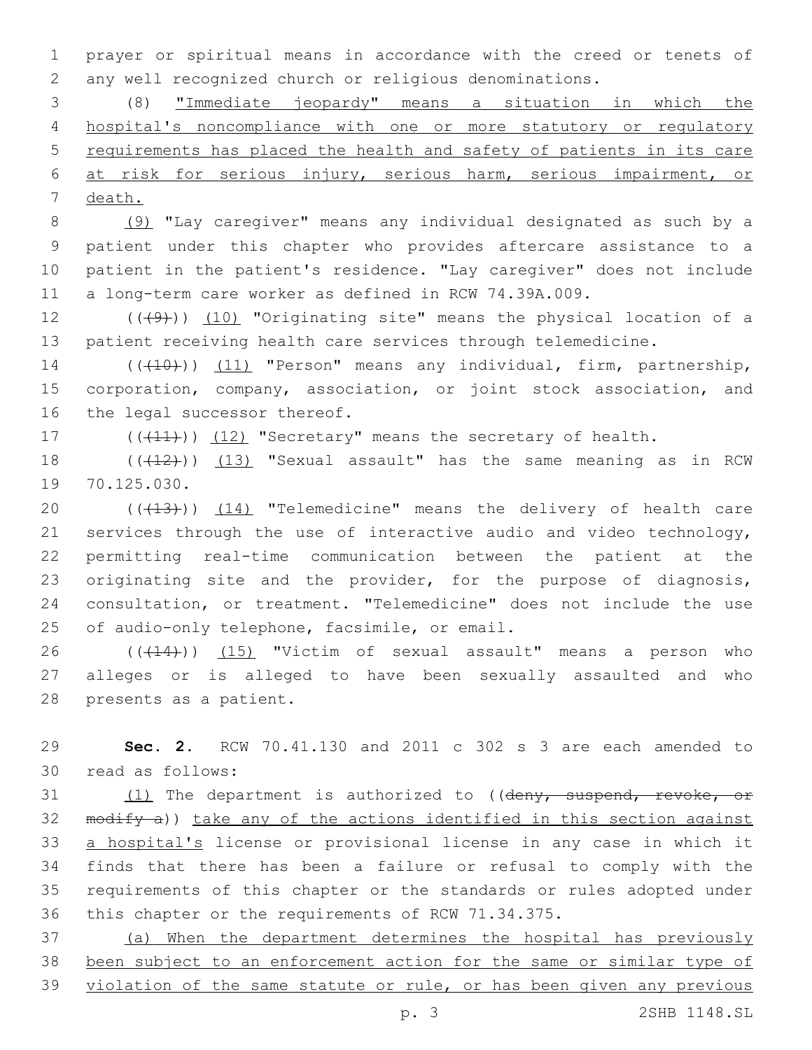prayer or spiritual means in accordance with the creed or tenets of any well recognized church or religious denominations.

 (8) "Immediate jeopardy" means a situation in which the hospital's noncompliance with one or more statutory or regulatory requirements has placed the health and safety of patients in its care at risk for serious injury, serious harm, serious impairment, or death.

 (9) "Lay caregiver" means any individual designated as such by a patient under this chapter who provides aftercare assistance to a patient in the patient's residence. "Lay caregiver" does not include a long-term care worker as defined in RCW 74.39A.009.

12  $((+9+))$   $(10)$  "Originating site" means the physical location of a patient receiving health care services through telemedicine.

14 (( $(410)$ )) (11) "Person" means any individual, firm, partnership, corporation, company, association, or joint stock association, and 16 the legal successor thereof.

17 (((11))) (12) "Secretary" means the secretary of health.

18 (((12))) (13) "Sexual assault" has the same meaning as in RCW 19 70.125.030.

20 (((13))) (14) "Telemedicine" means the delivery of health care 21 services through the use of interactive audio and video technology, permitting real-time communication between the patient at the originating site and the provider, for the purpose of diagnosis, consultation, or treatment. "Telemedicine" does not include the use 25 of audio-only telephone, facsimile, or email.

26 (((14))) (15) "Victim of sexual assault" means a person who alleges or is alleged to have been sexually assaulted and who 28 presents as a patient.

 **Sec. 2.** RCW 70.41.130 and 2011 c 302 s 3 are each amended to 30 read as follows:

 $(1)$  The department is authorized to ((deny, suspend, revoke, or 32 modify a)) take any of the actions identified in this section against a hospital's license or provisional license in any case in which it finds that there has been a failure or refusal to comply with the requirements of this chapter or the standards or rules adopted under this chapter or the requirements of RCW 71.34.375.

 (a) When the department determines the hospital has previously been subject to an enforcement action for the same or similar type of violation of the same statute or rule, or has been given any previous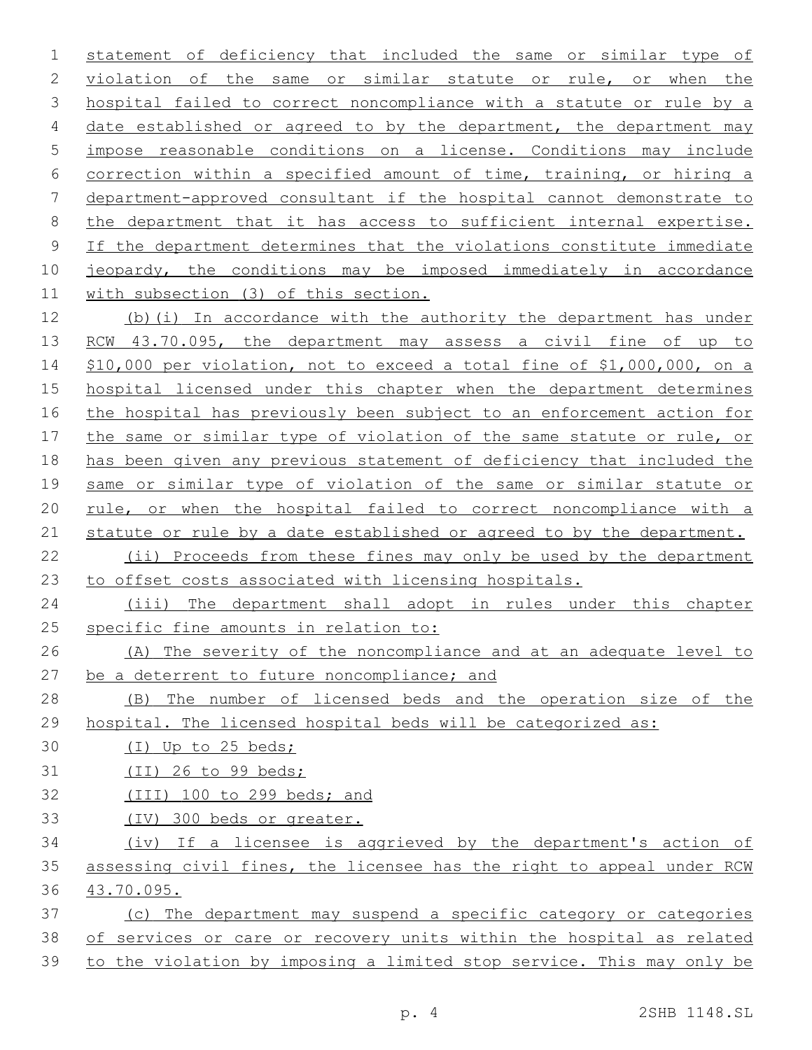statement of deficiency that included the same or similar type of violation of the same or similar statute or rule, or when the hospital failed to correct noncompliance with a statute or rule by a 4 date established or agreed to by the department, the department may impose reasonable conditions on a license. Conditions may include correction within a specified amount of time, training, or hiring a department-approved consultant if the hospital cannot demonstrate to the department that it has access to sufficient internal expertise. If the department determines that the violations constitute immediate jeopardy, the conditions may be imposed immediately in accordance 11 with subsection (3) of this section. (b)(i) In accordance with the authority the department has under 13 RCW 43.70.095, the department may assess a civil fine of up to

 \$10,000 per violation, not to exceed a total fine of \$1,000,000, on a 15 hospital licensed under this chapter when the department determines the hospital has previously been subject to an enforcement action for the same or similar type of violation of the same statute or rule, or has been given any previous statement of deficiency that included the same or similar type of violation of the same or similar statute or rule, or when the hospital failed to correct noncompliance with a statute or rule by a date established or agreed to by the department.

 (ii) Proceeds from these fines may only be used by the department to offset costs associated with licensing hospitals.

 (iii) The department shall adopt in rules under this chapter 25 specific fine amounts in relation to:

 (A) The severity of the noncompliance and at an adequate level to 27 be a deterrent to future noncompliance; and

 (B) The number of licensed beds and the operation size of the hospital. The licensed hospital beds will be categorized as:

- (I) Up to 25 beds;
- (II) 26 to 99 beds;
- (III) 100 to 299 beds; and
- (IV) 300 beds or greater.

 (iv) If a licensee is aggrieved by the department's action of assessing civil fines, the licensee has the right to appeal under RCW 43.70.095.

 (c) The department may suspend a specific category or categories of services or care or recovery units within the hospital as related to the violation by imposing a limited stop service. This may only be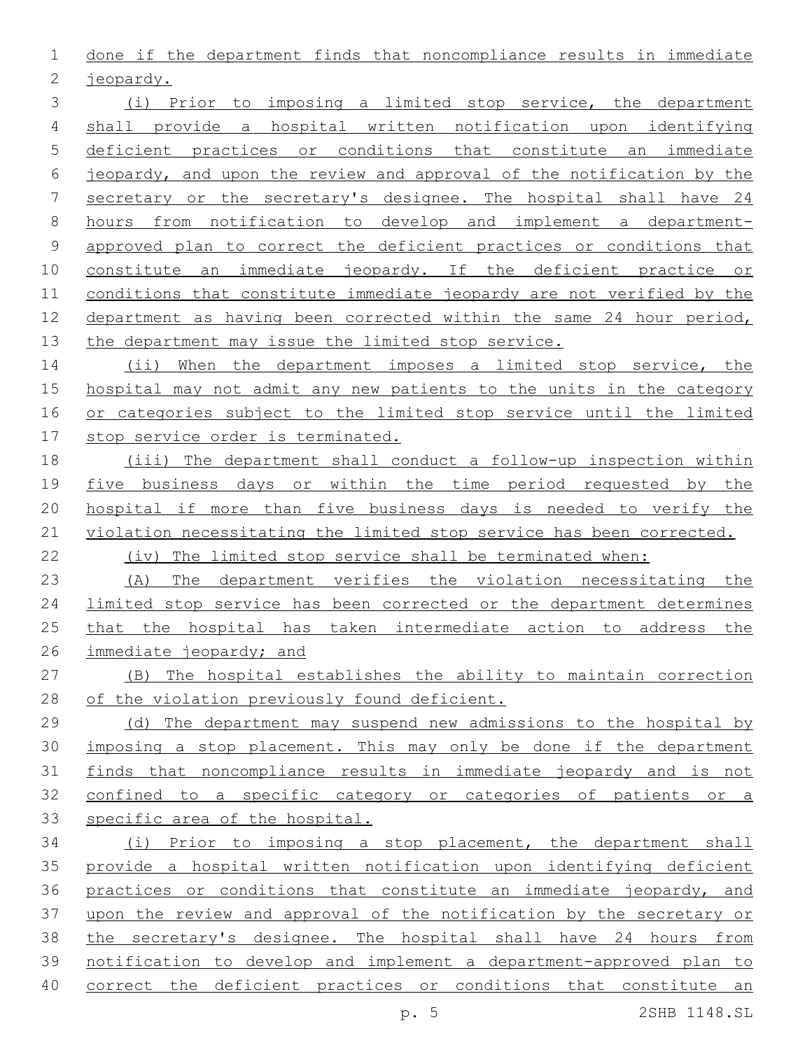done if the department finds that noncompliance results in immediate 2 jeopardy.

 (i) Prior to imposing a limited stop service, the department shall provide a hospital written notification upon identifying deficient practices or conditions that constitute an immediate jeopardy, and upon the review and approval of the notification by the secretary or the secretary's designee. The hospital shall have 24 hours from notification to develop and implement a department- approved plan to correct the deficient practices or conditions that constitute an immediate jeopardy. If the deficient practice or conditions that constitute immediate jeopardy are not verified by the department as having been corrected within the same 24 hour period, 13 the department may issue the limited stop service.

14 (ii) When the department imposes a limited stop service, the 15 hospital may not admit any new patients to the units in the category or categories subject to the limited stop service until the limited stop service order is terminated.

 (iii) The department shall conduct a follow-up inspection within five business days or within the time period requested by the hospital if more than five business days is needed to verify the violation necessitating the limited stop service has been corrected.

(iv) The limited stop service shall be terminated when:

 (A) The department verifies the violation necessitating the limited stop service has been corrected or the department determines that the hospital has taken intermediate action to address the immediate jeopardy; and

 (B) The hospital establishes the ability to maintain correction of the violation previously found deficient.

 (d) The department may suspend new admissions to the hospital by imposing a stop placement. This may only be done if the department finds that noncompliance results in immediate jeopardy and is not confined to a specific category or categories of patients or a specific area of the hospital.

 (i) Prior to imposing a stop placement, the department shall provide a hospital written notification upon identifying deficient practices or conditions that constitute an immediate jeopardy, and upon the review and approval of the notification by the secretary or the secretary's designee. The hospital shall have 24 hours from notification to develop and implement a department-approved plan to correct the deficient practices or conditions that constitute an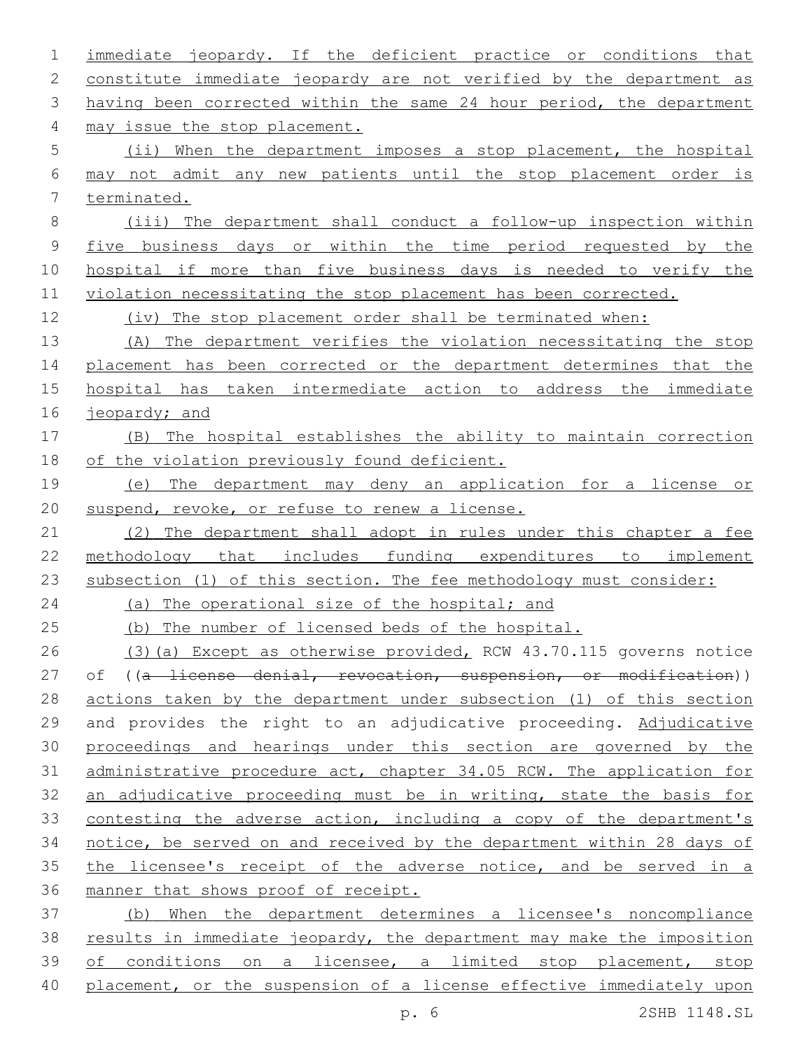immediate jeopardy. If the deficient practice or conditions that constitute immediate jeopardy are not verified by the department as having been corrected within the same 24 hour period, the department 4 may issue the stop placement. (ii) When the department imposes a stop placement, the hospital may not admit any new patients until the stop placement order is terminated. (iii) The department shall conduct a follow-up inspection within five business days or within the time period requested by the hospital if more than five business days is needed to verify the violation necessitating the stop placement has been corrected. (iv) The stop placement order shall be terminated when: (A) The department verifies the violation necessitating the stop 14 placement has been corrected or the department determines that the hospital has taken intermediate action to address the immediate 16 jeopardy; and (B) The hospital establishes the ability to maintain correction of the violation previously found deficient. (e) The department may deny an application for a license or suspend, revoke, or refuse to renew a license. 21 (2) The department shall adopt in rules under this chapter a fee methodology that includes funding expenditures to implement 23 subsection (1) of this section. The fee methodology must consider: 24 (a) The operational size of the hospital; and (b) The number of licensed beds of the hospital. 26 (3)(a) Except as otherwise provided, RCW 43.70.115 governs notice 27 of ((a license denial, revocation, suspension, or modification)) actions taken by the department under subsection (1) of this section 29 and provides the right to an adjudicative proceeding. Adjudicative proceedings and hearings under this section are governed by the administrative procedure act, chapter 34.05 RCW. The application for an adjudicative proceeding must be in writing, state the basis for contesting the adverse action, including a copy of the department's notice, be served on and received by the department within 28 days of 35 the licensee's receipt of the adverse notice, and be served in a manner that shows proof of receipt. (b) When the department determines a licensee's noncompliance results in immediate jeopardy, the department may make the imposition 39 of conditions on a licensee, a limited stop placement, stop placement, or the suspension of a license effective immediately upon

p. 6 2SHB 1148.SL